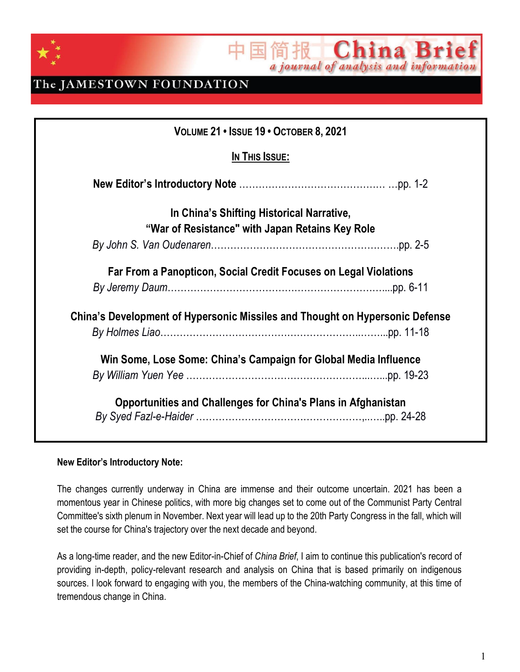

简报 China Brief 玉

### The JAMESTOWN FOUNDATION

| VOLUME 21 . ISSUE 19 . OCTOBER 8, 2021                                       |  |
|------------------------------------------------------------------------------|--|
| In This Issue:                                                               |  |
|                                                                              |  |
| In China's Shifting Historical Narrative,                                    |  |
| "War of Resistance" with Japan Retains Key Role                              |  |
|                                                                              |  |
| Far From a Panopticon, Social Credit Focuses on Legal Violations             |  |
|                                                                              |  |
| China's Development of Hypersonic Missiles and Thought on Hypersonic Defense |  |
|                                                                              |  |
| Win Some, Lose Some: China's Campaign for Global Media Influence             |  |
|                                                                              |  |
| <b>Opportunities and Challenges for China's Plans in Afghanistan</b>         |  |

#### **New Editor's Introductory Note:**

The changes currently underway in China are immense and their outcome uncertain. 2021 has been a momentous year in Chinese politics, with more big changes set to come out of the Communist Party Central Committee's sixth plenum in November. Next year will lead up to the 20th Party Congress in the fall, which will set the course for China's trajectory over the next decade and beyond.

As a long-time reader, and the new Editor-in-Chief of *China Brief*, I aim to continue this publication's record of providing in-depth, policy-relevant research and analysis on China that is based primarily on indigenous sources. I look forward to engaging with you, the members of the China-watching community, at this time of tremendous change in China.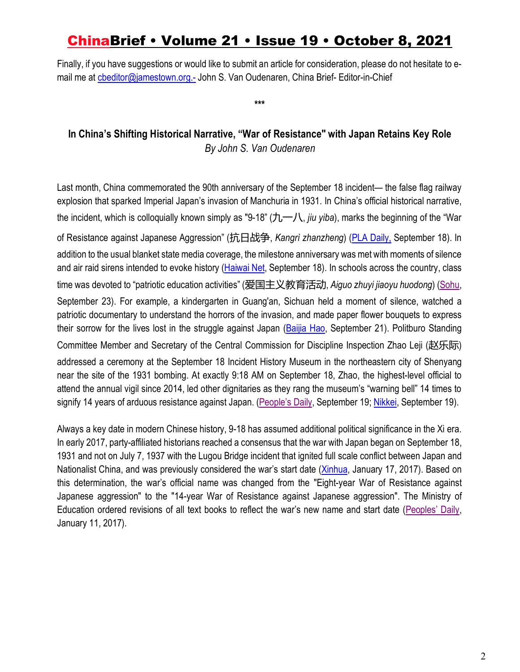Finally, if you have suggestions or would like to submit an article for consideration, please do not hesitate to email me at cbeditor@jamestown.org.- John S. Van Oudenaren, China Brief- Editor-in-Chief

**\*\*\***

### **In China's Shifting Historical Narrative, "War of Resistance" with Japan Retains Key Role** *By John S. Van Oudenaren*

Last month, China commemorated the 90th anniversary of the September 18 incident— the false flag railway explosion that sparked Imperial Japan's invasion of Manchuria in 1931. In China's official historical narrative, the incident, which is colloquially known simply as "9-18" (九一八, *jiu yiba*), marks the beginning of the "War of Resistance against Japanese Aggression" (抗日战争, *Kangrì zhanzheng*) (PLA Daily, September 18). In addition to the usual blanket state media coverage, the milestone anniversary was met with moments of silence and air raid sirens intended to evoke history (Haiwai Net, September 18). In schools across the country, class time was devoted to "patriotic education activities" (爱国主义教育活动, *Aiguo zhuyi jiaoyu huodong*) (Sohu, September 23). For example, a kindergarten in Guang'an, Sichuan held a moment of silence, watched a patriotic documentary to understand the horrors of the invasion, and made paper flower bouquets to express their sorrow for the lives lost in the struggle against Japan (Baijia Hao, September 21). Politburo Standing Committee Member and Secretary of the Central Commission for Discipline Inspection Zhao Leji (赵乐际) addressed a ceremony at the September 18 Incident History Museum in the northeastern city of Shenyang near the site of the 1931 bombing. At exactly 9:18 AM on September 18, Zhao, the highest-level official to attend the annual vigil since 2014, led other dignitaries as they rang the museum's "warning bell" 14 times to signify 14 years of arduous resistance against Japan. (People's Daily, September 19; Nikkei, September 19).

Always a key date in modern Chinese history, 9-18 has assumed additional political significance in the Xi era. In early 2017, party-affiliated historians reached a consensus that the war with Japan began on September 18, 1931 and not on July 7, 1937 with the Lugou Bridge incident that ignited full scale conflict between Japan and Nationalist China, and was previously considered the war's start date (Xinhua, January 17, 2017). Based on this determination, the war's official name was changed from the "Eight-year War of Resistance against Japanese aggression" to the "14-year War of Resistance against Japanese aggression". The Ministry of Education ordered revisions of all text books to reflect the war's new name and start date (Peoples' Daily, January 11, 2017).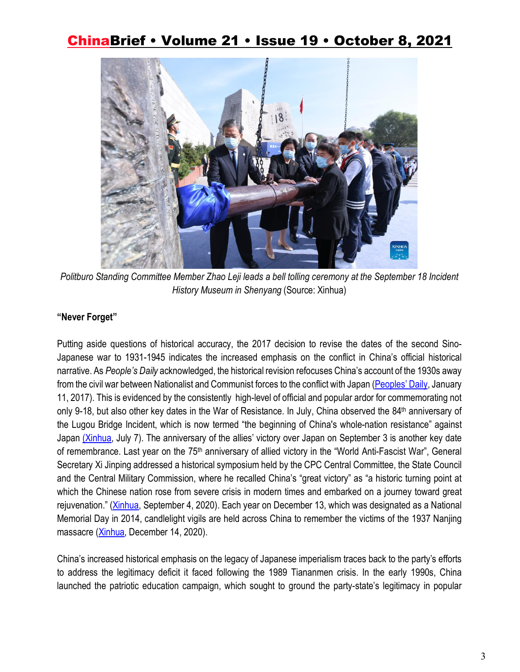

*Politburo Standing Committee Member Zhao Leji leads a bell tolling ceremony at the September 18 Incident History Museum in Shenyang* (Source: Xinhua)

#### **"Never Forget"**

Putting aside questions of historical accuracy, the 2017 decision to revise the dates of the second Sino-Japanese war to 1931-1945 indicates the increased emphasis on the conflict in China's official historical narrative. As *People's Daily* acknowledged, the historical revision refocuses China's account of the 1930s away from the civil war between Nationalist and Communist forces to the conflict with Japan (Peoples' Daily, January 11, 2017). This is evidenced by the consistently high-level of official and popular ardor for commemorating not only 9-18, but also other key dates in the War of Resistance. In July, China observed the 84<sup>th</sup> anniversary of the Lugou Bridge Incident, which is now termed "the beginning of China's whole-nation resistance" against Japan (Xinhua, July 7). The anniversary of the allies' victory over Japan on September 3 is another key date of remembrance. Last year on the 75<sup>th</sup> anniversary of allied victory in the "World Anti-Fascist War", General Secretary Xi Jinping addressed a historical symposium held by the CPC Central Committee, the State Council and the Central Military Commission, where he recalled China's "great victory" as "a historic turning point at which the Chinese nation rose from severe crisis in modern times and embarked on a journey toward great rejuvenation." (Xinhua, September 4, 2020). Each year on December 13, which was designated as a National Memorial Day in 2014, candlelight vigils are held across China to remember the victims of the 1937 Nanjing massacre (Xinhua, December 14, 2020).

China's increased historical emphasis on the legacy of Japanese imperialism traces back to the party's efforts to address the legitimacy deficit it faced following the 1989 Tiananmen crisis. In the early 1990s, China launched the patriotic education campaign, which sought to ground the party-state's legitimacy in popular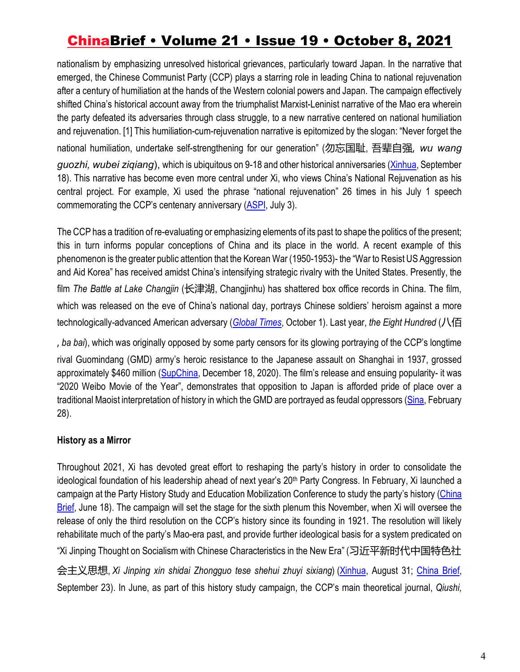nationalism by emphasizing unresolved historical grievances, particularly toward Japan. In the narrative that emerged, the Chinese Communist Party (CCP) plays a starring role in leading China to national rejuvenation after a century of humiliation at the hands of the Western colonial powers and Japan. The campaign effectively shifted China's historical account away from the triumphalist Marxist-Leninist narrative of the Mao era wherein the party defeated its adversaries through class struggle, to a new narrative centered on national humiliation and rejuvenation. [1] This humiliation-cum-rejuvenation narrative is epitomized by the slogan: "Never forget the national humiliation, undertake self-strengthening for our generation" (勿忘国耻, 吾辈自强, *wu wang guozhi, wubei ziqiang*), which is ubiquitous on 9-18 and other historical anniversaries (Xinhua, September 18). This narrative has become even more central under Xi, who views China's National Rejuvenation as his central project. For example, Xi used the phrase "national rejuvenation" 26 times in his July 1 speech commemorating the CCP's centenary anniversary (ASPI, July 3).

The CCP has a tradition of re-evaluating or emphasizing elements of its past to shape the politics of the present; this in turn informs popular conceptions of China and its place in the world. A recent example of this phenomenon is the greater public attention that the Korean War (1950-1953)- the "War to Resist US Aggression and Aid Korea" has received amidst China's intensifying strategic rivalry with the United States. Presently, the film *The Battle at Lake Changjin* (长津湖, Changjinhu) has shattered box office records in China. The film, which was released on the eve of China's national day, portrays Chinese soldiers' heroism against a more technologically-advanced American adversary (*Global Times*, October 1). Last year, *the Eight Hundred* (八佰

, *ba bai*), which was originally opposed by some party censors for its glowing portraying of the CCP's longtime rival Guomindang (GMD) army's heroic resistance to the Japanese assault on Shanghai in 1937, grossed approximately \$460 million (SupChina, December 18, 2020). The film's release and ensuing popularity- it was "2020 Weibo Movie of the Year", demonstrates that opposition to Japan is afforded pride of place over a traditional Maoist interpretation of history in which the GMD are portrayed as feudal oppressors (Sina, February 28).

#### **History as a Mirror**

Throughout 2021, Xi has devoted great effort to reshaping the party's history in order to consolidate the ideological foundation of his leadership ahead of next year's 20<sup>th</sup> Party Congress. In February, Xi launched a campaign at the Party History Study and Education Mobilization Conference to study the party's history (China Brief, June 18). The campaign will set the stage for the sixth plenum this November, when Xi will oversee the release of only the third resolution on the CCP's history since its founding in 1921. The resolution will likely rehabilitate much of the party's Mao-era past, and provide further ideological basis for a system predicated on "Xi Jinping Thought on Socialism with Chinese Characteristics in the New Era" (习近平新时代中国特色社 会主义思想, *Xi Jinping xin shidai Zhongguo tese shehui zhuyi sixiang*) (Xinhua, August 31; China Brief, September 23). In June, as part of this history study campaign, the CCP's main theoretical journal, *Qiushi,*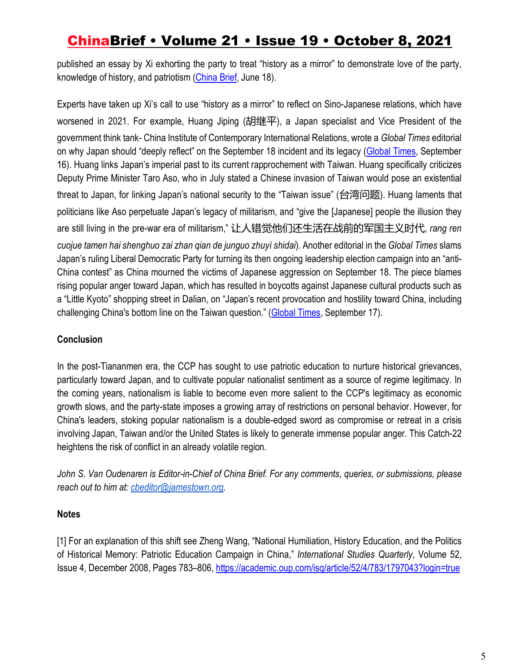published an essay by Xi exhorting the party to treat "history as a mirror" to demonstrate love of the party, knowledge of history, and patriotism (China Brief, June 18).

Experts have taken up Xi's call to use "history as a mirror" to reflect on Sino-Japanese relations, which have worsened in 2021. For example, Huang Jiping (胡继平), a Japan specialist and Vice President of the government think tank- China Institute of Contemporary International Relations, wrote a *Global Times* editorial on why Japan should "deeply reflect" on the September 18 incident and its legacy (Global Times, September 16). Huang links Japan's imperial past to its current rapprochement with Taiwan. Huang specifically criticizes Deputy Prime Minister Taro Aso, who in July stated a Chinese invasion of Taiwan would pose an existential threat to Japan, for linking Japan's national security to the "Taiwan issue" (台湾问题). Huang laments that politicians like Aso perpetuate Japan's legacy of militarism, and "give the [Japanese] people the illusion they are still living in the pre-war era of militarism," 让人错觉他们还生活在战前的军国主义时代, *rang ren cuojue tamen hai shenghuo zai zhan qian de junguo zhuyì shidai*). Another editorial in the *Global Times* slams Japan's ruling Liberal Democratic Party for turning its then ongoing leadership election campaign into an "anti-China contest" as China mourned the victims of Japanese aggression on September 18. The piece blames rising popular anger toward Japan, which has resulted in boycotts against Japanese cultural products such as a "Little Kyoto" shopping street in Dalian, on "Japan's recent provocation and hostility toward China, including challenging China's bottom line on the Taiwan question." (Global Times, September 17).

### **Conclusion**

In the post-Tiananmen era, the CCP has sought to use patriotic education to nurture historical grievances, particularly toward Japan, and to cultivate popular nationalist sentiment as a source of regime legitimacy. In the coming years, nationalism is liable to become even more salient to the CCP's legitimacy as economic growth slows, and the party-state imposes a growing array of restrictions on personal behavior. However, for China's leaders, stoking popular nationalism is a double-edged sword as compromise or retreat in a crisis involving Japan, Taiwan and/or the United States is likely to generate immense popular anger. This Catch-22 heightens the risk of conflict in an already volatile region.

*John S. Van Oudenaren is Editor-in-Chief of China Brief. For any comments, queries, or submissions, please reach out to him at: cbeditor@jamestown.org.*

### **Notes**

[1] For an explanation of this shift see Zheng Wang, "National Humiliation, History Education, and the Politics of Historical Memory: Patriotic Education Campaign in China," *International Studies Quarterly*, Volume 52, Issue 4, December 2008, Pages 783–806, https://academic.oup.com/isq/article/52/4/783/1797043?login=true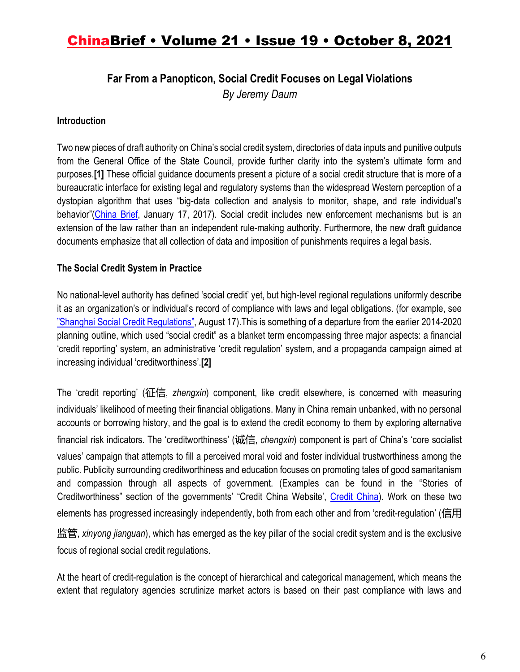### **Far From a Panopticon, Social Credit Focuses on Legal Violations**

*By Jeremy Daum*

#### **Introduction**

Two new pieces of draft authority on China's social credit system, directories of data inputs and punitive outputs from the General Office of the State Council, provide further clarity into the system's ultimate form and purposes.**[1]** These official guidance documents present a picture of a social credit structure that is more of a bureaucratic interface for existing legal and regulatory systems than the widespread Western perception of a dystopian algorithm that uses "big-data collection and analysis to monitor, shape, and rate individual's behavior"(China Brief, January 17, 2017). Social credit includes new enforcement mechanisms but is an extension of the law rather than an independent rule-making authority. Furthermore, the new draft guidance documents emphasize that all collection of data and imposition of punishments requires a legal basis.

### **The Social Credit System in Practice**

No national-level authority has defined 'social credit' yet, but high-level regional regulations uniformly describe it as an organization's or individual's record of compliance with laws and legal obligations. (for example, see "Shanghai Social Credit Regulations", August 17).This is something of a departure from the earlier 2014-2020 planning outline, which used "social credit" as a blanket term encompassing three major aspects: a financial 'credit reporting' system, an administrative 'credit regulation' system, and a propaganda campaign aimed at increasing individual 'creditworthiness'.**[2]** 

The 'credit reporting' (征信, *zhengxin*) component, like credit elsewhere, is concerned with measuring individuals' likelihood of meeting their financial obligations. Many in China remain unbanked, with no personal accounts or borrowing history, and the goal is to extend the credit economy to them by exploring alternative financial risk indicators. The 'creditworthiness' (诚信, *chengxin*) component is part of China's 'core socialist values' campaign that attempts to fill a perceived moral void and foster individual trustworthiness among the public. Publicity surrounding creditworthiness and education focuses on promoting tales of good samaritanism and compassion through all aspects of government. (Examples can be found in the "Stories of Creditworthiness" section of the governments' "Credit China Website', Credit China). Work on these two elements has progressed increasingly independently, both from each other and from 'credit-regulation' (信用

监管, *xinyong jianguan*), which has emerged as the key pillar of the social credit system and is the exclusive focus of regional social credit regulations.

At the heart of credit-regulation is the concept of hierarchical and categorical management, which means the extent that regulatory agencies scrutinize market actors is based on their past compliance with laws and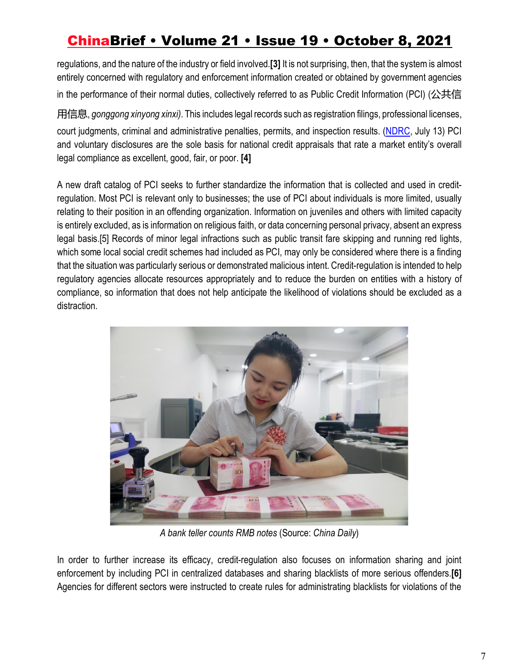regulations, and the nature of the industry or field involved.**[3]** It is not surprising, then, that the system is almost entirely concerned with regulatory and enforcement information created or obtained by government agencies in the performance of their normal duties, collectively referred to as Public Credit Information (PCI) (公共信

用信息, *gonggong xinyong xinxi)*. This includes legal records such as registration filings, professional licenses, court judgments, criminal and administrative penalties, permits, and inspection results. (NDRC, July 13) PCI and voluntary disclosures are the sole basis for national credit appraisals that rate a market entity's overall legal compliance as excellent, good, fair, or poor. **[4]**

A new draft catalog of PCI seeks to further standardize the information that is collected and used in creditregulation. Most PCI is relevant only to businesses; the use of PCI about individuals is more limited, usually relating to their position in an offending organization. Information on juveniles and others with limited capacity is entirely excluded, as is information on religious faith, or data concerning personal privacy, absent an express legal basis.[5] Records of minor legal infractions such as public transit fare skipping and running red lights, which some local social credit schemes had included as PCI, may only be considered where there is a finding that the situation was particularly serious or demonstrated malicious intent. Credit-regulation is intended to help regulatory agencies allocate resources appropriately and to reduce the burden on entities with a history of compliance, so information that does not help anticipate the likelihood of violations should be excluded as a distraction.



*A bank teller counts RMB notes* (Source: *China Daily*)

In order to further increase its efficacy, credit-regulation also focuses on information sharing and joint enforcement by including PCI in centralized databases and sharing blacklists of more serious offenders.**[6]**  Agencies for different sectors were instructed to create rules for administrating blacklists for violations of the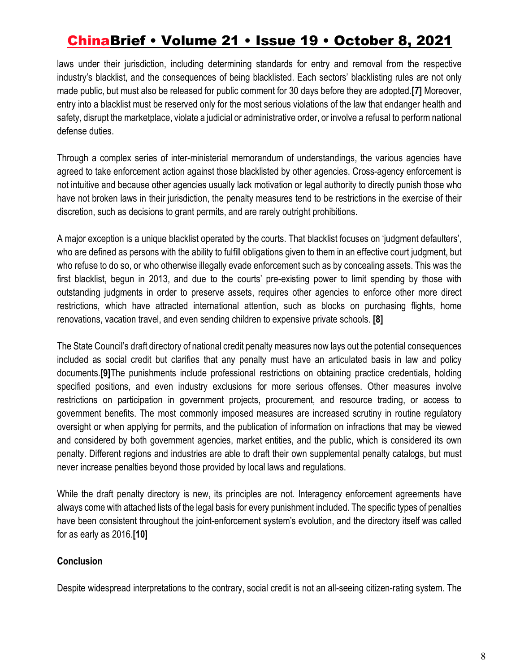laws under their jurisdiction, including determining standards for entry and removal from the respective industry's blacklist, and the consequences of being blacklisted. Each sectors' blacklisting rules are not only made public, but must also be released for public comment for 30 days before they are adopted.**[7]** Moreover, entry into a blacklist must be reserved only for the most serious violations of the law that endanger health and safety, disrupt the marketplace, violate a judicial or administrative order, or involve a refusal to perform national defense duties.

Through a complex series of inter-ministerial memorandum of understandings, the various agencies have agreed to take enforcement action against those blacklisted by other agencies. Cross-agency enforcement is not intuitive and because other agencies usually lack motivation or legal authority to directly punish those who have not broken laws in their jurisdiction, the penalty measures tend to be restrictions in the exercise of their discretion, such as decisions to grant permits, and are rarely outright prohibitions.

A major exception is a unique blacklist operated by the courts. That blacklist focuses on 'judgment defaulters', who are defined as persons with the ability to fulfill obligations given to them in an effective court judgment, but who refuse to do so, or who otherwise illegally evade enforcement such as by concealing assets. This was the first blacklist, begun in 2013, and due to the courts' pre-existing power to limit spending by those with outstanding judgments in order to preserve assets, requires other agencies to enforce other more direct restrictions, which have attracted international attention, such as blocks on purchasing flights, home renovations, vacation travel, and even sending children to expensive private schools. **[8]** 

The State Council's draft directory of national credit penalty measures now lays out the potential consequences included as social credit but clarifies that any penalty must have an articulated basis in law and policy documents.**[9]**The punishments include professional restrictions on obtaining practice credentials, holding specified positions, and even industry exclusions for more serious offenses. Other measures involve restrictions on participation in government projects, procurement, and resource trading, or access to government benefits. The most commonly imposed measures are increased scrutiny in routine regulatory oversight or when applying for permits, and the publication of information on infractions that may be viewed and considered by both government agencies, market entities, and the public, which is considered its own penalty. Different regions and industries are able to draft their own supplemental penalty catalogs, but must never increase penalties beyond those provided by local laws and regulations.

While the draft penalty directory is new, its principles are not. Interagency enforcement agreements have always come with attached lists of the legal basis for every punishment included. The specific types of penalties have been consistent throughout the joint-enforcement system's evolution, and the directory itself was called for as early as 2016.**[10]**

#### **Conclusion**

Despite widespread interpretations to the contrary, social credit is not an all-seeing citizen-rating system. The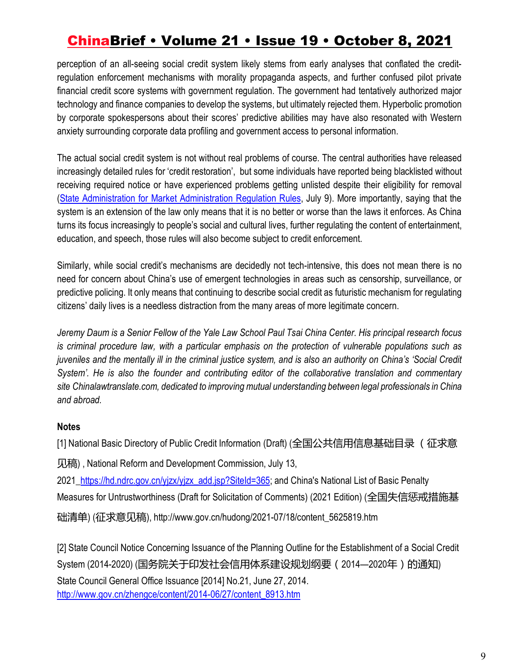perception of an all-seeing social credit system likely stems from early analyses that conflated the creditregulation enforcement mechanisms with morality propaganda aspects, and further confused pilot private financial credit score systems with government regulation. The government had tentatively authorized major technology and finance companies to develop the systems, but ultimately rejected them. Hyperbolic promotion by corporate spokespersons about their scores' predictive abilities may have also resonated with Western anxiety surrounding corporate data profiling and government access to personal information.

The actual social credit system is not without real problems of course. The central authorities have released increasingly detailed rules for 'credit restoration', but some individuals have reported being blacklisted without receiving required notice or have experienced problems getting unlisted despite their eligibility for removal (State Administration for Market Administration Regulation Rules, July 9). More importantly, saying that the system is an extension of the law only means that it is no better or worse than the laws it enforces. As China turns its focus increasingly to people's social and cultural lives, further regulating the content of entertainment, education, and speech, those rules will also become subject to credit enforcement.

Similarly, while social credit's mechanisms are decidedly not tech-intensive, this does not mean there is no need for concern about China's use of emergent technologies in areas such as censorship, surveillance, or predictive policing. It only means that continuing to describe social credit as futuristic mechanism for regulating citizens' daily lives is a needless distraction from the many areas of more legitimate concern.

*Jeremy Daum is a Senior Fellow of the Yale Law School Paul Tsai China Center. His principal research focus is criminal procedure law, with a particular emphasis on the protection of vulnerable populations such as juveniles and the mentally ill in the criminal justice system, and is also an authority on China's 'Social Credit System'. He is also the founder and contributing editor of the collaborative translation and commentary site Chinalawtranslate.com, dedicated to improving mutual understanding between legal professionals in China and abroad.*

#### **Notes**

[1] National Basic Directory of Public Credit Information (Draft) (全国公共信用信息基础目录 (征求意

见稿) , National Reform and Development Commission, July 13,

2021\_https://hd.ndrc.gov.cn/yjzx/yjzx\_add.jsp?SiteId=365; and China's National List of Basic Penalty Measures for Untrustworthiness (Draft for Solicitation of Comments) (2021 Edition) (全国失信惩戒措施基 础清单) (征求意见稿), http://www.gov.cn/hudong/2021-07/18/content\_5625819.htm

[2] State Council Notice Concerning Issuance of the Planning Outline for the Establishment of a Social Credit System (2014-2020) (国务院关于印发社会信用体系建设规划纲要(2014—2020年)的通知) State Council General Office Issuance [2014] No.21, June 27, 2014. http://www.gov.cn/zhengce/content/2014-06/27/content\_8913.htm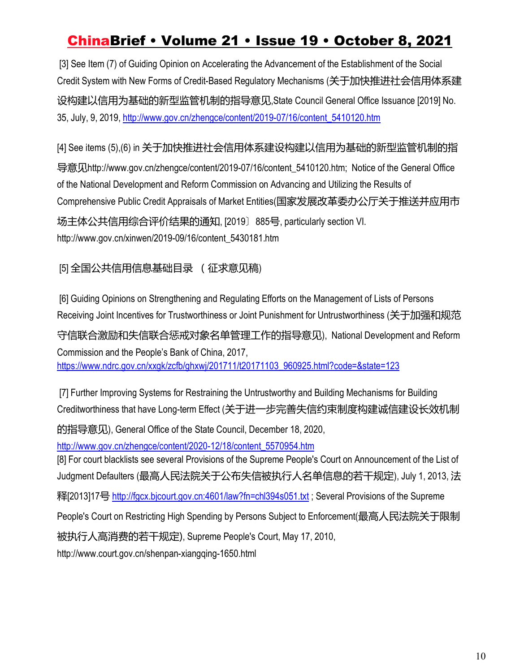[3] See Item (7) of Guiding Opinion on Accelerating the Advancement of the Establishment of the Social Credit System with New Forms of Credit-Based Regulatory Mechanisms (关于加快推进社会信用体系建 设构建以信用为基础的新型监管机制的指导意见,State Council General Office Issuance [2019] No. 35, July, 9, 2019, http://www.gov.cn/zhengce/content/2019-07/16/content\_5410120.htm

[4] See items (5),(6) in 关于加快推进社会信用体系建设构建以信用为基础的新型监管机制的指 导意见http://www.gov.cn/zhengce/content/2019-07/16/content\_5410120.htm; Notice of the General Office of the National Development and Reform Commission on Advancing and Utilizing the Results of Comprehensive Public Credit Appraisals of Market Entities(国家发展改革委办公厅关于推送并应用市 场主体公共信用综合评价结果的通知, [2019〕885号, particularly section VI. http://www.gov.cn/xinwen/2019-09/16/content\_5430181.htm

### [5] 全国公共信用信息基础目录 (征求意见稿)

[6] Guiding Opinions on Strengthening and Regulating Efforts on the Management of Lists of Persons Receiving Joint Incentives for Trustworthiness or Joint Punishment for Untrustworthiness (关于加强和规范

守信联合激励和失信联合惩戒对象名单管理工作的指导意见), National Development and Reform Commission and the People's Bank of China, 2017, https://www.ndrc.gov.cn/xxgk/zcfb/ghxwj/201711/t20171103\_960925.html?code=&state=123

[7] Further Improving Systems for Restraining the Untrustworthy and Building Mechanisms for Building Creditworthiness that have Long-term Effect (关于进一步完善失信约束制度构建诚信建设长效机制 的指导意见), General Office of the State Council, December 18, 2020, http://www.gov.cn/zhengce/content/2020-12/18/content\_5570954.htm [8] For court blacklists see several Provisions of the Supreme People's Court on Announcement of the List of Judgment Defaulters (最高人民法院关于公布失信被执行人名单信息的若干规定), July 1, 2013, 法 释[2013]17号 http://fgcx.bjcourt.gov.cn:4601/law?fn=chl394s051.txt; Several Provisions of the Supreme People's Court on Restricting High Spending by Persons Subject to Enforcement(最高人民法院关于限制 被执行人高消费的若干规定), Supreme People's Court, May 17, 2010, http://www.court.gov.cn/shenpan-xiangqing-1650.html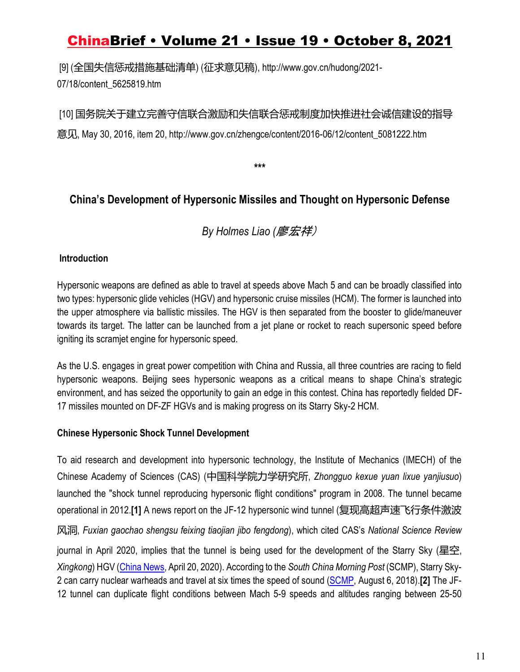[9] (全国失信惩戒措施基础清单) (征求意见稿), http://www.gov.cn/hudong/2021- 07/18/content\_5625819.htm

[10] 国务院关于建立完善守信联合激励和失信联合惩戒制度加快推进社会诚信建设的指导 意见, May 30, 2016, item 20, http://www.gov.cn/zhengce/content/2016-06/12/content\_5081222.htm

**\*\*\***

### **China's Development of Hypersonic Missiles and Thought on Hypersonic Defense**

*By Holmes Liao (*廖宏祥)

### **Introduction**

Hypersonic weapons are defined as able to travel at speeds above Mach 5 and can be broadly classified into two types: hypersonic glide vehicles (HGV) and hypersonic cruise missiles (HCM). The former is launched into the upper atmosphere via ballistic missiles. The HGV is then separated from the booster to glide/maneuver towards its target. The latter can be launched from a jet plane or rocket to reach supersonic speed before igniting its scramjet engine for hypersonic speed.

As the U.S. engages in great power competition with China and Russia, all three countries are racing to field hypersonic weapons. Beijing sees hypersonic weapons as a critical means to shape China's strategic environment, and has seized the opportunity to gain an edge in this contest. China has reportedly fielded DF-17 missiles mounted on DF-ZF HGVs and is making progress on its Starry Sky-2 HCM.

### **Chinese Hypersonic Shock Tunnel Development**

To aid research and development into hypersonic technology, the Institute of Mechanics (IMECH) of the Chinese Academy of Sciences (CAS) (中国科学院力学研究所, *Zhongguo kexue yuan lixue yanjiusuo*) launched the "shock tunnel reproducing hypersonic flight conditions" program in 2008. The tunnel became operational in 2012.**[1]** A news report on the JF-12 hypersonic wind tunnel (复现高超声速飞行条件激波 风洞, *Fuxian gaochao shengsu feixing tiaojian jibo fengdong*), which cited CAS's *National Science Review* journal in April 2020, implies that the tunnel is being used for the development of the Starry Sky (星空, *Xingkong*) HGV (China News, April 20, 2020). According to the *South China Morning Post* (SCMP), Starry Sky-2 can carry nuclear warheads and travel at six times the speed of sound (SCMP, August 6, 2018).**[2]** The JF-12 tunnel can duplicate flight conditions between Mach 5-9 speeds and altitudes ranging between 25-50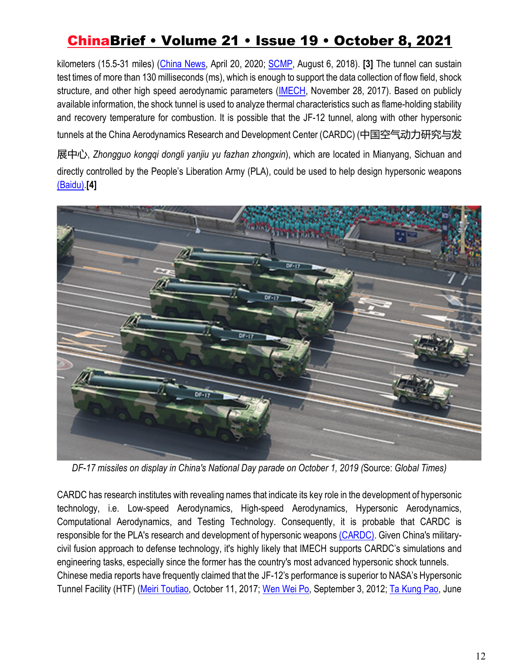kilometers (15.5-31 miles) (China News, April 20, 2020; SCMP, August 6, 2018). **[3]** The tunnel can sustain test times of more than 130 milliseconds (ms), which is enough to support the data collection of flow field, shock structure, and other high speed aerodynamic parameters (IMECH, November 28, 2017). Based on publicly available information, the shock tunnel is used to analyze thermal characteristics such as flame-holding stability and recovery temperature for combustion. It is possible that the JF-12 tunnel, along with other hypersonic tunnels at the China Aerodynamics Research and Development Center (CARDC) (中国空气动力研究与发

展中心, *Zhongguo kongqi dongli yanjiu yu fazhan zhongxin*), which are located in Mianyang, Sichuan and directly controlled by the People's Liberation Army (PLA), could be used to help design hypersonic weapons (Baidu).**[4]** 



*DF-17 missiles on display in China's National Day parade on October 1, 2019 (*Source: *Global Times)*

CARDC has research institutes with revealing names that indicate its key role in the development of hypersonic technology, i.e. Low-speed Aerodynamics, High-speed Aerodynamics, Hypersonic Aerodynamics, Computational Aerodynamics, and Testing Technology. Consequently, it is probable that CARDC is responsible for the PLA's research and development of hypersonic weapons (CARDC). Given China's militarycivil fusion approach to defense technology, it's highly likely that IMECH supports CARDC's simulations and engineering tasks, especially since the former has the country's most advanced hypersonic shock tunnels. Chinese media reports have frequently claimed that the JF-12's performance is superior to NASA's Hypersonic Tunnel Facility (HTF) (Meiri Toutiao, October 11, 2017; Wen Wei Po, September 3, 2012; Ta Kung Pao, June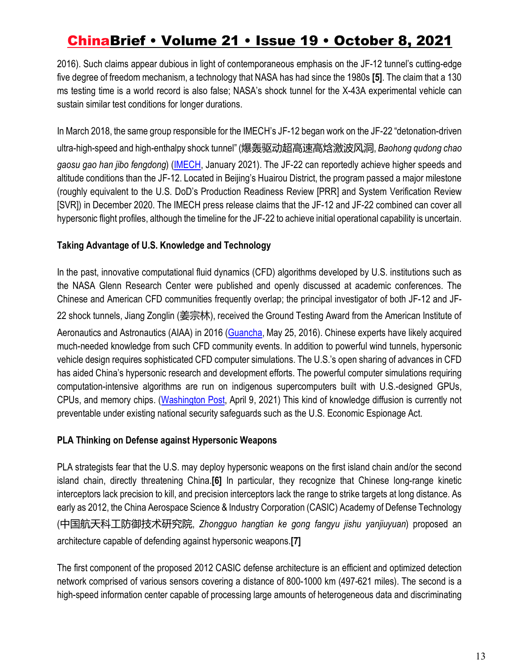2016). Such claims appear dubious in light of contemporaneous emphasis on the JF-12 tunnel's cutting-edge five degree of freedom mechanism, a technology that NASA has had since the 1980s **[5]**. The claim that a 130 ms testing time is a world record is also false; NASA's shock tunnel for the X-43A experimental vehicle can sustain similar test conditions for longer durations.

In March 2018, the same group responsible for the IMECH's JF-12 began work on the JF-22 "detonation-driven ultra-high-speed and high-enthalpy shock tunnel" (爆轰驱动超高速高焓激波风洞, *Baohong qudong chao gaosu gao han jibo fengdong*) (IMECH, January 2021). The JF-22 can reportedly achieve higher speeds and altitude conditions than the JF-12. Located in Beijing's Huairou District, the program passed a major milestone (roughly equivalent to the U.S. DoD's Production Readiness Review [PRR] and System Verification Review [SVR]) in December 2020. The IMECH press release claims that the JF-12 and JF-22 combined can cover all hypersonic flight profiles, although the timeline for the JF-22 to achieve initial operational capability is uncertain.

#### **Taking Advantage of U.S. Knowledge and Technology**

In the past, innovative computational fluid dynamics (CFD) algorithms developed by U.S. institutions such as the NASA Glenn Research Center were published and openly discussed at academic conferences. The Chinese and American CFD communities frequently overlap; the principal investigator of both JF-12 and JF-22 shock tunnels, Jiang Zonglin (姜宗林), received the Ground Testing Award from the American Institute of Aeronautics and Astronautics (AIAA) in 2016 (Guancha, May 25, 2016). Chinese experts have likely acquired much-needed knowledge from such CFD community events. In addition to powerful wind tunnels, hypersonic vehicle design requires sophisticated CFD computer simulations. The U.S.'s open sharing of advances in CFD has aided China's hypersonic research and development efforts. The powerful computer simulations requiring computation-intensive algorithms are run on indigenous supercomputers built with U.S.-designed GPUs, CPUs, and memory chips. (Washington Post, April 9, 2021) This kind of knowledge diffusion is currently not preventable under existing national security safeguards such as the U.S. Economic Espionage Act.

#### **PLA Thinking on Defense against Hypersonic Weapons**

PLA strategists fear that the U.S. may deploy hypersonic weapons on the first island chain and/or the second island chain, directly threatening China.**[6]** In particular, they recognize that Chinese long-range kinetic interceptors lack precision to kill, and precision interceptors lack the range to strike targets at long distance. As early as 2012, the China Aerospace Science & Industry Corporation (CASIC) Academy of Defense Technology (中国航天科工防御技术研究院, *Zhongguo hangtian ke gong fangyu jishu yanjiuyuan*) proposed an architecture capable of defending against hypersonic weapons.**[7]**

The first component of the proposed 2012 CASIC defense architecture is an efficient and optimized detection network comprised of various sensors covering a distance of 800-1000 km (497-621 miles). The second is a high-speed information center capable of processing large amounts of heterogeneous data and discriminating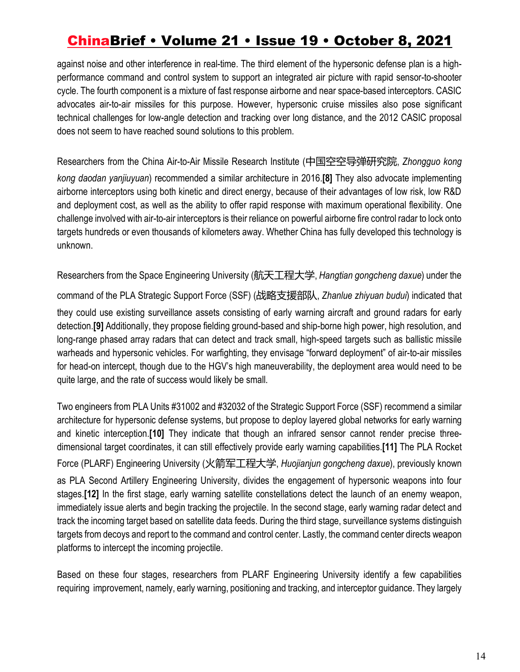against noise and other interference in real-time. The third element of the hypersonic defense plan is a highperformance command and control system to support an integrated air picture with rapid sensor-to-shooter cycle. The fourth component is a mixture of fast response airborne and near space-based interceptors. CASIC advocates air-to-air missiles for this purpose. However, hypersonic cruise missiles also pose significant technical challenges for low-angle detection and tracking over long distance, and the 2012 CASIC proposal does not seem to have reached sound solutions to this problem.

Researchers from the China Air-to-Air Missile Research Institute (中国空空导弹研究院, *Zhongguo kong kong daodan yanjiuyuan*) recommended a similar architecture in 2016.**[8]** They also advocate implementing airborne interceptors using both kinetic and direct energy, because of their advantages of low risk, low R&D and deployment cost, as well as the ability to offer rapid response with maximum operational flexibility. One challenge involved with air-to-air interceptors is their reliance on powerful airborne fire control radar to lock onto targets hundreds or even thousands of kilometers away. Whether China has fully developed this technology is unknown.

Researchers from the Space Engineering University (航天工程大学, *Hangtian gongcheng daxue*) under the

command of the PLA Strategic Support Force (SSF) (战略支援部队, *Zhanlue zhiyuan budui*) indicated that they could use existing surveillance assets consisting of early warning aircraft and ground radars for early detection.**[9]** Additionally, they propose fielding ground-based and ship-borne high power, high resolution, and long-range phased array radars that can detect and track small, high-speed targets such as ballistic missile warheads and hypersonic vehicles. For warfighting, they envisage "forward deployment" of air-to-air missiles for head-on intercept, though due to the HGV's high maneuverability, the deployment area would need to be quite large, and the rate of success would likely be small.

Two engineers from PLA Units #31002 and #32032 of the Strategic Support Force (SSF) recommend a similar architecture for hypersonic defense systems, but propose to deploy layered global networks for early warning and kinetic interception.**[10]** They indicate that though an infrared sensor cannot render precise threedimensional target coordinates, it can still effectively provide early warning capabilities.**[11]** The PLA Rocket Force (PLARF) Engineering University (火箭军工程大学, *Huojianjun gongcheng daxue*), previously known as PLA Second Artillery Engineering University, divides the engagement of hypersonic weapons into four stages.**[12]** In the first stage, early warning satellite constellations detect the launch of an enemy weapon, immediately issue alerts and begin tracking the projectile. In the second stage, early warning radar detect and track the incoming target based on satellite data feeds. During the third stage, surveillance systems distinguish targets from decoys and report to the command and control center. Lastly, the command center directs weapon platforms to intercept the incoming projectile.

Based on these four stages, researchers from PLARF Engineering University identify a few capabilities requiring improvement, namely, early warning, positioning and tracking, and interceptor guidance. They largely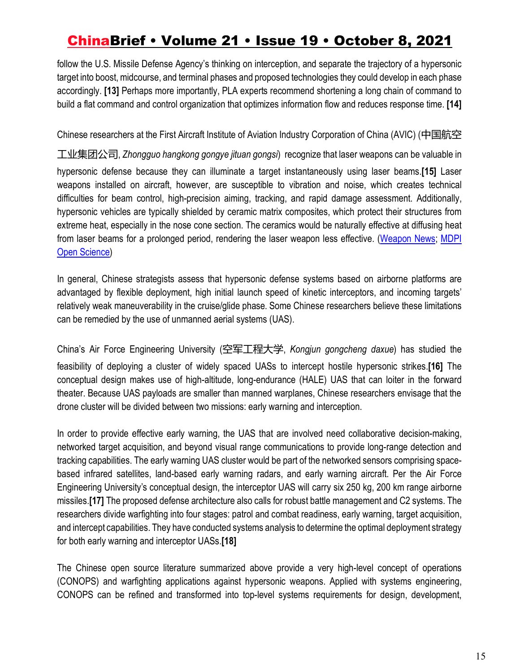follow the U.S. Missile Defense Agency's thinking on interception, and separate the trajectory of a hypersonic target into boost, midcourse, and terminal phases and proposed technologies they could develop in each phase accordingly. **[13]** Perhaps more importantly, PLA experts recommend shortening a long chain of command to build a flat command and control organization that optimizes information flow and reduces response time. **[14]**

Chinese researchers at the First Aircraft Institute of Aviation Industry Corporation of China (AVIC) (中国航空

工业集团公司, *Zhongguo hangkong gongye jituan gongsi*) recognize that laser weapons can be valuable in hypersonic defense because they can illuminate a target instantaneously using laser beams.**[15]** Laser weapons installed on aircraft, however, are susceptible to vibration and noise, which creates technical difficulties for beam control, high-precision aiming, tracking, and rapid damage assessment. Additionally, hypersonic vehicles are typically shielded by ceramic matrix composites, which protect their structures from extreme heat, especially in the nose cone section. The ceramics would be naturally effective at diffusing heat from laser beams for a prolonged period, rendering the laser weapon less effective. (Weapon News; MDPI Open Science)

In general, Chinese strategists assess that hypersonic defense systems based on airborne platforms are advantaged by flexible deployment, high initial launch speed of kinetic interceptors, and incoming targets' relatively weak maneuverability in the cruise/glide phase. Some Chinese researchers believe these limitations can be remedied by the use of unmanned aerial systems (UAS).

China's Air Force Engineering University (空军工程大学, *Kongjun gongcheng daxue*) has studied the feasibility of deploying a cluster of widely spaced UASs to intercept hostile hypersonic strikes.**[16]** The conceptual design makes use of high-altitude, long-endurance (HALE) UAS that can loiter in the forward theater. Because UAS payloads are smaller than manned warplanes, Chinese researchers envisage that the drone cluster will be divided between two missions: early warning and interception.

In order to provide effective early warning, the UAS that are involved need collaborative decision-making, networked target acquisition, and beyond visual range communications to provide long-range detection and tracking capabilities. The early warning UAS cluster would be part of the networked sensors comprising spacebased infrared satellites, land-based early warning radars, and early warning aircraft. Per the Air Force Engineering University's conceptual design, the interceptor UAS will carry six 250 kg, 200 km range airborne missiles.**[17]** The proposed defense architecture also calls for robust battle management and C2 systems. The researchers divide warfighting into four stages: patrol and combat readiness, early warning, target acquisition, and intercept capabilities. They have conducted systems analysis to determine the optimal deployment strategy for both early warning and interceptor UASs.**[18]**

The Chinese open source literature summarized above provide a very high-level concept of operations (CONOPS) and warfighting applications against hypersonic weapons. Applied with systems engineering, CONOPS can be refined and transformed into top-level systems requirements for design, development,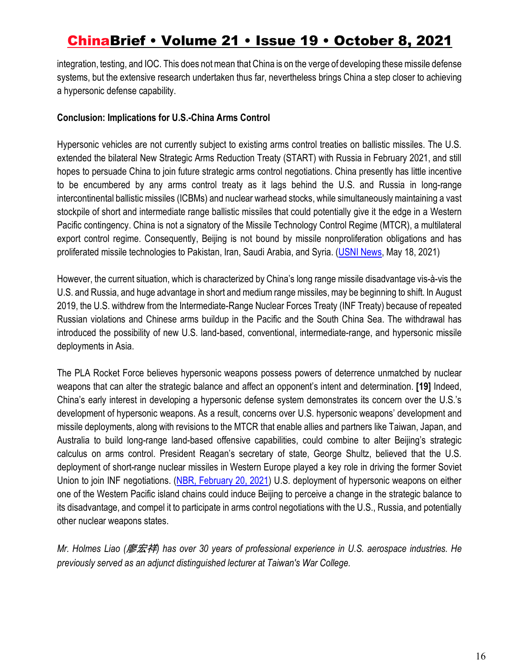integration, testing, and IOC. This does not mean that China is on the verge of developing these missile defense systems, but the extensive research undertaken thus far, nevertheless brings China a step closer to achieving a hypersonic defense capability.

#### **Conclusion: Implications for U.S.-China Arms Control**

Hypersonic vehicles are not currently subject to existing arms control treaties on ballistic missiles. The U.S. extended the bilateral New Strategic Arms Reduction Treaty (START) with Russia in February 2021, and still hopes to persuade China to join future strategic arms control negotiations. China presently has little incentive to be encumbered by any arms control treaty as it lags behind the U.S. and Russia in long-range intercontinental ballistic missiles (ICBMs) and nuclear warhead stocks, while simultaneously maintaining a vast stockpile of short and intermediate range ballistic missiles that could potentially give it the edge in a Western Pacific contingency. China is not a signatory of the Missile Technology Control Regime (MTCR), a multilateral export control regime. Consequently, Beijing is not bound by missile nonproliferation obligations and has proliferated missile technologies to Pakistan, Iran, Saudi Arabia, and Syria. (USNI News, May 18, 2021)

However, the current situation, which is characterized by China's long range missile disadvantage vis-à-vis the U.S. and Russia, and huge advantage in short and medium range missiles, may be beginning to shift. In August 2019, the U.S. withdrew from the Intermediate-Range Nuclear Forces Treaty (INF Treaty) because of repeated Russian violations and Chinese arms buildup in the Pacific and the South China Sea. The withdrawal has introduced the possibility of new U.S. land-based, conventional, intermediate-range, and hypersonic missile deployments in Asia.

The PLA Rocket Force believes hypersonic weapons possess powers of deterrence unmatched by nuclear weapons that can alter the strategic balance and affect an opponent's intent and determination. **[19]** Indeed, China's early interest in developing a hypersonic defense system demonstrates its concern over the U.S.'s development of hypersonic weapons. As a result, concerns over U.S. hypersonic weapons' development and missile deployments, along with revisions to the MTCR that enable allies and partners like Taiwan, Japan, and Australia to build long-range land-based offensive capabilities, could combine to alter Beijing's strategic calculus on arms control. President Reagan's secretary of state, George Shultz, believed that the U.S. deployment of short-range nuclear missiles in Western Europe played a key role in driving the former Soviet Union to join INF negotiations. (NBR, February 20, 2021) U.S. deployment of hypersonic weapons on either one of the Western Pacific island chains could induce Beijing to perceive a change in the strategic balance to its disadvantage, and compel it to participate in arms control negotiations with the U.S., Russia, and potentially other nuclear weapons states.

*Mr. Holmes Liao (*廖宏祥*) has over 30 years of professional experience in U.S. aerospace industries. He previously served as an adjunct distinguished lecturer at Taiwan's War College.*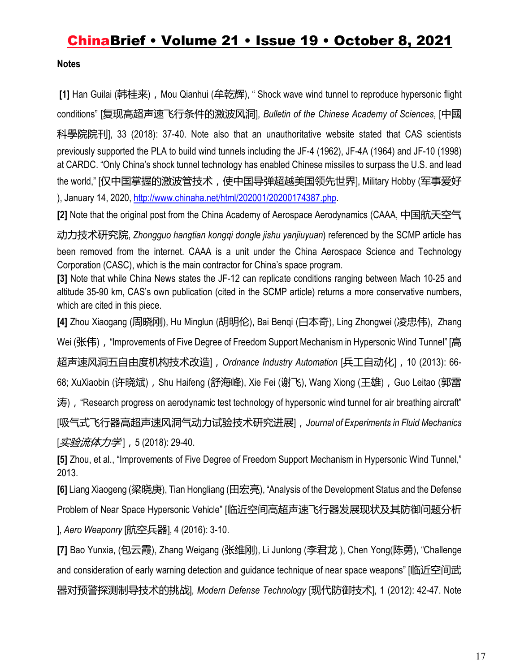**Notes** 

[1] Han Guilai (韩桂来), Mou Qianhui (牟乾辉), " Shock wave wind tunnel to reproduce hypersonic flight conditions" [复现高超声速飞行条件的激波风洞], *Bulletin of the Chinese Academy of Sciences*, [中國 科學院院刊], 33 (2018): 37-40. Note also that an unauthoritative website stated that CAS scientists previously supported the PLA to build wind tunnels including the JF-4 (1962), JF-4A (1964) and JF-10 (1998) at CARDC. "Only China's shock tunnel technology has enabled Chinese missiles to surpass the U.S. and lead the world," [仅中国掌握的激波管技术,使中国导弹超越美国领先世界], Military Hobby (军事爱好 ), January 14, 2020, http://www.chinaha.net/html/202001/20200174387.php.

**[2]** Note that the original post from the China Academy of Aerospace Aerodynamics (CAAA, 中国航天空气

动力技术研究院, *Zhongguo hangtian kongqi dongle jishu yanjiuyuan*) referenced by the SCMP article has been removed from the internet. CAAA is a unit under the China Aerospace Science and Technology Corporation (CASC), which is the main contractor for China's space program.

**[3]** Note that while China News states the JF-12 can replicate conditions ranging between Mach 10-25 and altitude 35-90 km, CAS's own publication (cited in the SCMP article) returns a more conservative numbers, which are cited in this piece.

**[4]** Zhou Xiaogang (周晓刚), Hu Minglun (胡明伦), Bai Benqi (白本奇), Ling Zhongwei (凌忠伟), Zhang

Wei (张伟), "Improvements of Five Degree of Freedom Support Mechanism in Hypersonic Wind Tunnel" [高]

超声速风洞五自由度机构技术改造],*Ordnance Industry Automation* [兵工自动化],10 (2013): 66-

68; XuXiaobin (许晓斌), Shu Haifeng (舒海峰), Xie Fei (谢飞), Wang Xiong (王雄), Guo Leitao (郭雷

涛),"Research progress on aerodynamic test technology of hypersonic wind tunnel for air breathing aircraft"

[吸气式飞行器高超声速风洞气动力试验技术研究进展],*Journal of Experiments in Fluid Mechanics* [*实验流体力学*],5 (2018): 29-40.

**[5]** Zhou, et al., "Improvements of Five Degree of Freedom Support Mechanism in Hypersonic Wind Tunnel," 2013.

**[6]** Liang Xiaogeng (梁晓庚), Tian Hongliang (田宏亮), "Analysis of the Development Status and the Defense

Problem of Near Space Hypersonic Vehicle" [临近空间高超声速飞行器发展现状及其防御问题分析

], *Aero Weaponry* [航空兵器], 4 (2016): 3-10.

**[7]** Bao Yunxia, (包云霞), Zhang Weigang (张维刚), Li Junlong (李君龙 ), Chen Yong(陈勇), "Challenge and consideration of early warning detection and guidance technique of near space weapons" [临近空间武 器对预警探测制导技术的挑战], *Modern Defense Technology* [现代防御技术], 1 (2012): 42-47. Note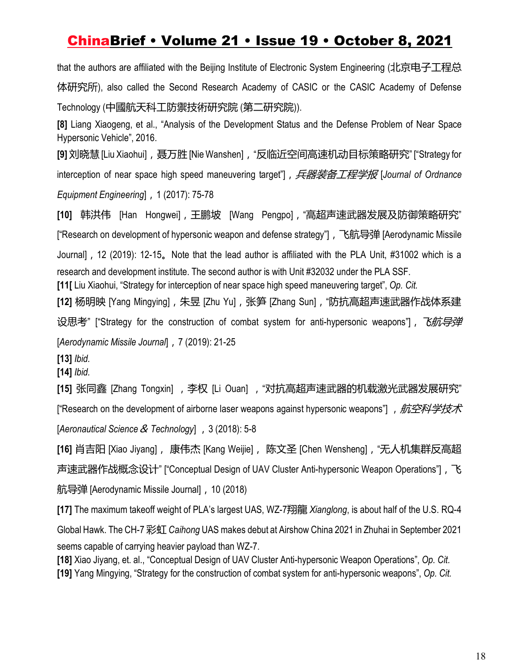that the authors are affiliated with the Beijing Institute of Electronic System Engineering (北京电子工程总 体研究所), also called the Second Research Academy of CASIC or the CASIC Academy of Defense Technology (中國航天科工防禦技術研究院 (第二研究院)).

**[8]** Liang Xiaogeng, et al., "Analysis of the Development Status and the Defense Problem of Near Space Hypersonic Vehicle", 2016.

**[9]** 刘晓慧[Liu Xiaohui],聂万胜[Nie Wanshen],"反临近空间高速机动目标策略研究" ["Strategy for interception of near space high speed maneuvering target"], *兵器装备工程学报* [*Journal of Ordnance* 

*Equipment Engineering*],1 (2017): 75-78

**[10]** 韩洪伟 [Han Hongwei],王鹏坡 [Wang Pengpo],"高超声速武器发展及防御策略研究" ["Research on development of hypersonic weapon and defense strategy"], 飞航导弹 [Aerodynamic Missile]

Journal],12 (2019): 12-15。Note that the lead author is affiliated with the PLA Unit, #31002 which is a research and development institute. The second author is with Unit #32032 under the PLA SSF.

**[11[** Liu Xiaohui, "Strategy for interception of near space high speed maneuvering target", *Op. Cit.* 

**[12]** 杨明映 [Yang Mingying],朱昱 [Zhu Yu],张笋 [Zhang Sun],"防抗高超声速武器作战体系建 设思考" ["Strategy for the construction of combat system for anti-hypersonic weapons"], 飞航导弹 [*Aerodynamic Missile Journal*],7 (2019): 21-25

**[13]** *Ibid.*

**[14]** *Ibid.*

[15] 张同鑫 [Zhang Tongxin] , 李权 [Li Ouan] , "对抗高超声速武器的机载激光武器发展研究" ["Research on the development of airborne laser weapons against hypersonic weapons"] , 航空科学技术 [Aeronautical Science & Technology] , 3 (2018): 5-8

**[16]** 肖吉阳 [Xiao Jiyang], 康伟杰 [Kang Weijie], 陈文圣 [Chen Wensheng],"无人机集群反高超 声速武器作战概念设计" ["Conceptual Design of UAV Cluster Anti-hypersonic Weapon Operations"],飞 航导弹 [Aerodynamic Missile Journal],10 (2018)

**[17]** The maximum takeoff weight of PLA's largest UAS, WZ-7翔龍 *Xianglong*, is about half of the U.S. RQ-4 Global Hawk. The CH-7 彩虹 *Caihong* UAS makes debut at Airshow China 2021 in Zhuhai in September 2021 seems capable of carrying heavier payload than WZ-7.

**[18]** Xiao Jiyang, et. al., "Conceptual Design of UAV Cluster Anti-hypersonic Weapon Operations", *Op. Cit.* **[19]** Yang Mingying, "Strategy for the construction of combat system for anti-hypersonic weapons", *Op. Cit.*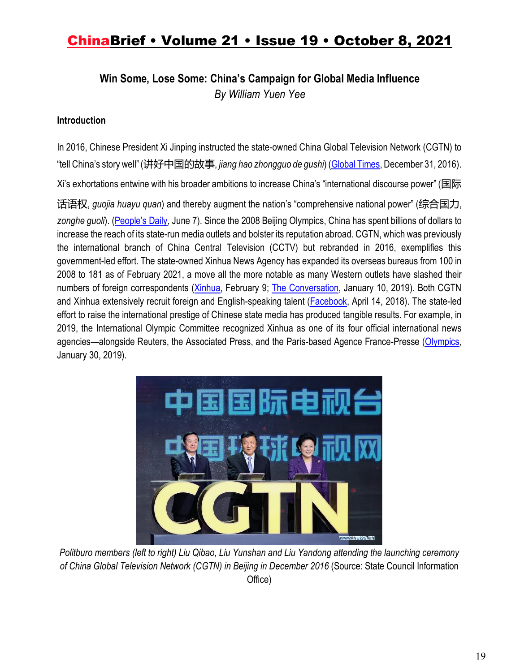**Win Some, Lose Some: China's Campaign for Global Media Influence**

*By William Yuen Yee*

### **Introduction**

In 2016, Chinese President Xi Jinping instructed the state-owned China Global Television Network (CGTN) to "tell China's story well" (讲好中国的故事, *jiang hao zhongguo de gushi*) (Global Times, December 31, 2016).

Xi's exhortations entwine with his broader ambitions to increase China's "international discourse power" (国际

话语权, *guojia huayu quan*) and thereby augment the nation's "comprehensive national power" (综合国力,

*zonghe guoli*). (People's Daily, June 7). Since the 2008 Beijing Olympics, China has spent billions of dollars to increase the reach of its state-run media outlets and bolster its reputation abroad. CGTN, which was previously the international branch of China Central Television (CCTV) but rebranded in 2016, exemplifies this government-led effort. The state-owned Xinhua News Agency has expanded its overseas bureaus from 100 in 2008 to 181 as of February 2021, a move all the more notable as many Western outlets have slashed their numbers of foreign correspondents (*Xinhua*, February 9; The Conversation, January 10, 2019). Both CGTN and Xinhua extensively recruit foreign and English-speaking talent (Facebook, April 14, 2018). The state-led effort to raise the international prestige of Chinese state media has produced tangible results. For example, in 2019, the International Olympic Committee recognized Xinhua as one of its four official international news agencies—alongside Reuters, the Associated Press, and the Paris-based Agence France-Presse (Olympics, January 30, 2019).



*Politburo members (left to right) Liu Qibao, Liu Yunshan and Liu Yandong attending the launching ceremony of China Global Television Network (CGTN) in Beijing in December 2016* (Source: State Council Information Office)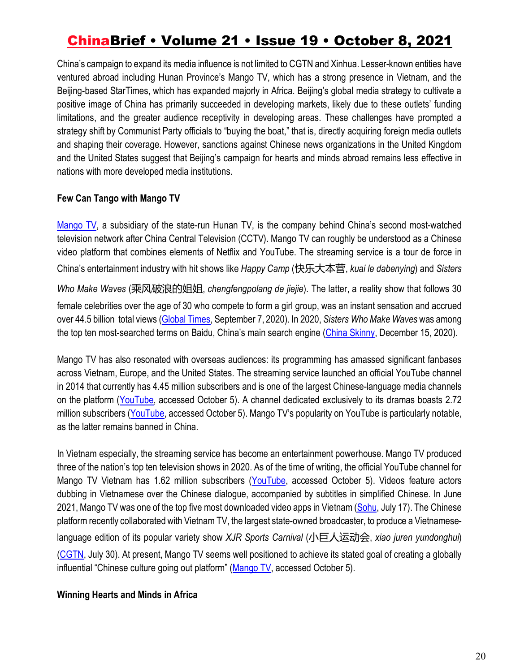China's campaign to expand its media influence is not limited to CGTN and Xinhua. Lesser-known entities have ventured abroad including Hunan Province's Mango TV, which has a strong presence in Vietnam, and the Beijing-based StarTimes, which has expanded majorly in Africa. Beijing's global media strategy to cultivate a positive image of China has primarily succeeded in developing markets, likely due to these outlets' funding limitations, and the greater audience receptivity in developing areas. These challenges have prompted a strategy shift by Communist Party officials to "buying the boat," that is, directly acquiring foreign media outlets and shaping their coverage. However, sanctions against Chinese news organizations in the United Kingdom and the United States suggest that Beijing's campaign for hearts and minds abroad remains less effective in nations with more developed media institutions.

#### **Few Can Tango with Mango TV**

Mango TV, a subsidiary of the state-run Hunan TV, is the company behind China's second most-watched television network after China Central Television (CCTV). Mango TV can roughly be understood as a Chinese video platform that combines elements of Netflix and YouTube. The streaming service is a tour de force in China's entertainment industry with hit shows like *Happy Camp* (快乐大本营, *kuai le dabenying*) and *Sisters* 

*Who Make Waves* (乘风破浪的姐姐, *chengfengpolang de jiejie*). The latter, a reality show that follows 30 female celebrities over the age of 30 who compete to form a girl group, was an instant sensation and accrued over 44.5 billion total views (Global Times, September 7, 2020). In 2020, *Sisters Who Make Waves* was among the top ten most-searched terms on Baidu, China's main search engine (China Skinny, December 15, 2020).

Mango TV has also resonated with overseas audiences: its programming has amassed significant fanbases across Vietnam, Europe, and the United States. The streaming service launched an official YouTube channel in 2014 that currently has 4.45 million subscribers and is one of the largest Chinese-language media channels on the platform (YouTube, accessed October 5). A channel dedicated exclusively to its dramas boasts 2.72 million subscribers (YouTube, accessed October 5). Mango TV's popularity on YouTube is particularly notable, as the latter remains banned in China.

In Vietnam especially, the streaming service has become an entertainment powerhouse. Mango TV produced three of the nation's top ten television shows in 2020. As of the time of writing, the official YouTube channel for Mango TV Vietnam has 1.62 million subscribers (YouTube, accessed October 5). Videos feature actors dubbing in Vietnamese over the Chinese dialogue, accompanied by subtitles in simplified Chinese. In June 2021, Mango TV was one of the top five most downloaded video apps in Vietnam (Sohu, July 17). The Chinese platform recently collaborated with Vietnam TV, the largest state-owned broadcaster, to produce a Vietnameselanguage edition of its popular variety show *XJR Sports Carnival* (小巨人运动会, *xiao juren yundonghui*) (CGTN, July 30). At present, Mango TV seems well positioned to achieve its stated goal of creating a globally influential "Chinese culture going out platform" (Mango TV, accessed October 5).

#### **Winning Hearts and Minds in Africa**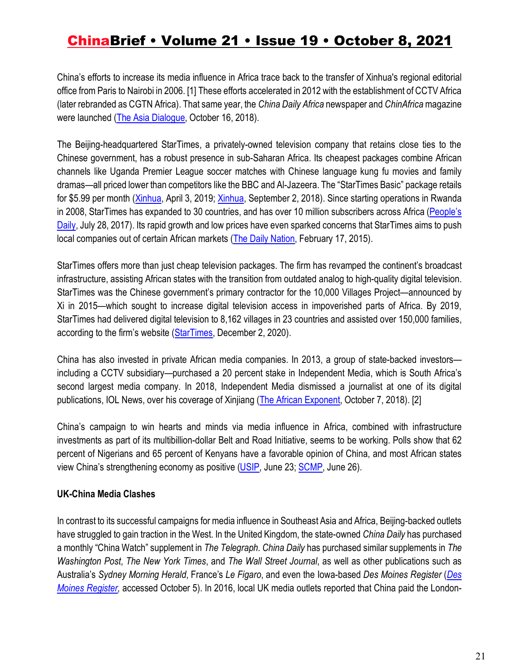China's efforts to increase its media influence in Africa trace back to the transfer of Xinhua's regional editorial office from Paris to Nairobi in 2006. [1] These efforts accelerated in 2012 with the establishment of CCTV Africa (later rebranded as CGTN Africa). That same year, the *China Daily Africa* newspaper and *ChinAfrica* magazine were launched (The Asia Dialogue, October 16, 2018).

The Beijing-headquartered StarTimes, a privately-owned television company that retains close ties to the Chinese government, has a robust presence in sub-Saharan Africa. Its cheapest packages combine African channels like Uganda Premier League soccer matches with Chinese language kung fu movies and family dramas—all priced lower than competitors like the BBC and Al-Jazeera. The "StarTimes Basic" package retails for \$5.99 per month (Xinhua, April 3, 2019; Xinhua, September 2, 2018). Since starting operations in Rwanda in 2008, StarTimes has expanded to 30 countries, and has over 10 million subscribers across Africa (People's Daily, July 28, 2017). Its rapid growth and low prices have even sparked concerns that StarTimes aims to push local companies out of certain African markets (The Daily Nation, February 17, 2015).

StarTimes offers more than just cheap television packages. The firm has revamped the continent's broadcast infrastructure, assisting African states with the transition from outdated analog to high-quality digital television. StarTimes was the Chinese government's primary contractor for the 10,000 Villages Project—announced by Xi in 2015—which sought to increase digital television access in impoverished parts of Africa. By 2019, StarTimes had delivered digital television to 8,162 villages in 23 countries and assisted over 150,000 families, according to the firm's website (StarTimes, December 2, 2020).

China has also invested in private African media companies. In 2013, a group of state-backed investors including a CCTV subsidiary—purchased a 20 percent stake in Independent Media, which is South Africa's second largest media company. In 2018, Independent Media dismissed a journalist at one of its digital publications, IOL News, over his coverage of Xinjiang (The African Exponent, October 7, 2018). [2]

China's campaign to win hearts and minds via media influence in Africa, combined with infrastructure investments as part of its multibillion-dollar Belt and Road Initiative, seems to be working. Polls show that 62 percent of Nigerians and 65 percent of Kenyans have a favorable opinion of China, and most African states view China's strengthening economy as positive (USIP, June 23; SCMP, June 26).

### **UK-China Media Clashes**

In contrast to its successful campaigns for media influence in Southeast Asia and Africa, Beijing-backed outlets have struggled to gain traction in the West. In the United Kingdom, the state-owned *China Daily* has purchased a monthly "China Watch" supplement in *The Telegraph*. *China Daily* has purchased similar supplements in *The Washington Post*, *The New York Times*, and *The Wall Street Journal*, as well as other publications such as Australia's *Sydney Morning Herald*, France's *Le Figaro*, and even the Iowa-based *Des Moines Register* (*Des Moines Register,* accessed October 5). In 2016, local UK media outlets reported that China paid the London-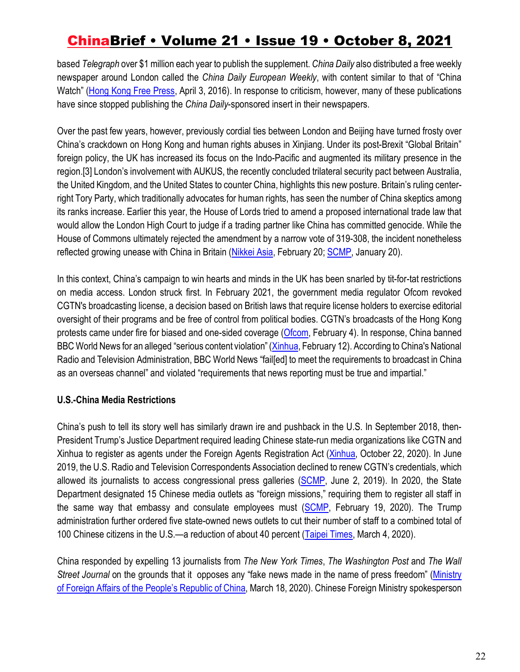based *Telegraph* over \$1 million each year to publish the supplement. *China Daily* also distributed a free weekly newspaper around London called the *China Daily European Weekly*, with content similar to that of "China Watch" (Hong Kong Free Press, April 3, 2016). In response to criticism, however, many of these publications have since stopped publishing the *China Daily*-sponsored insert in their newspapers.

Over the past few years, however, previously cordial ties between London and Beijing have turned frosty over China's crackdown on Hong Kong and human rights abuses in Xinjiang. Under its post-Brexit "Global Britain" foreign policy, the UK has increased its focus on the Indo-Pacific and augmented its military presence in the region.[3] London's involvement with AUKUS, the recently concluded trilateral security pact between Australia, the United Kingdom, and the United States to counter China, highlights this new posture. Britain's ruling centerright Tory Party, which traditionally advocates for human rights, has seen the number of China skeptics among its ranks increase. Earlier this year, the House of Lords tried to amend a proposed international trade law that would allow the London High Court to judge if a trading partner like China has committed genocide. While the House of Commons ultimately rejected the amendment by a narrow vote of 319-308, the incident nonetheless reflected growing unease with China in Britain (Nikkei Asia, February 20; SCMP, January 20).

In this context, China's campaign to win hearts and minds in the UK has been snarled by tit-for-tat restrictions on media access. London struck first. In February 2021, the government media regulator Ofcom revoked CGTN's broadcasting license, a decision based on British laws that require license holders to exercise editorial oversight of their programs and be free of control from political bodies. CGTN's broadcasts of the Hong Kong protests came under fire for biased and one-sided coverage (Ofcom, February 4). In response, China banned BBC World News for an alleged "serious content violation" (Xinhua, February 12). According to China's National Radio and Television Administration, BBC World News "fail[ed] to meet the requirements to broadcast in China as an overseas channel" and violated "requirements that news reporting must be true and impartial."

### **U.S.-China Media Restrictions**

China's push to tell its story well has similarly drawn ire and pushback in the U.S. In September 2018, then-President Trump's Justice Department required leading Chinese state-run media organizations like CGTN and Xinhua to register as agents under the Foreign Agents Registration Act (Xinhua, October 22, 2020). In June 2019, the U.S. Radio and Television Correspondents Association declined to renew CGTN's credentials, which allowed its journalists to access congressional press galleries (SCMP, June 2, 2019). In 2020, the State Department designated 15 Chinese media outlets as "foreign missions," requiring them to register all staff in the same way that embassy and consulate employees must (SCMP, February 19, 2020). The Trump administration further ordered five state-owned news outlets to cut their number of staff to a combined total of 100 Chinese citizens in the U.S.—a reduction of about 40 percent (Taipei Times, March 4, 2020).

China responded by expelling 13 journalists from *The New York Times*, *The Washington Post* and *The Wall Street Journal* on the grounds that it opposes any "fake news made in the name of press freedom" (Ministry of Foreign Affairs of the People's Republic of China, March 18, 2020). Chinese Foreign Ministry spokesperson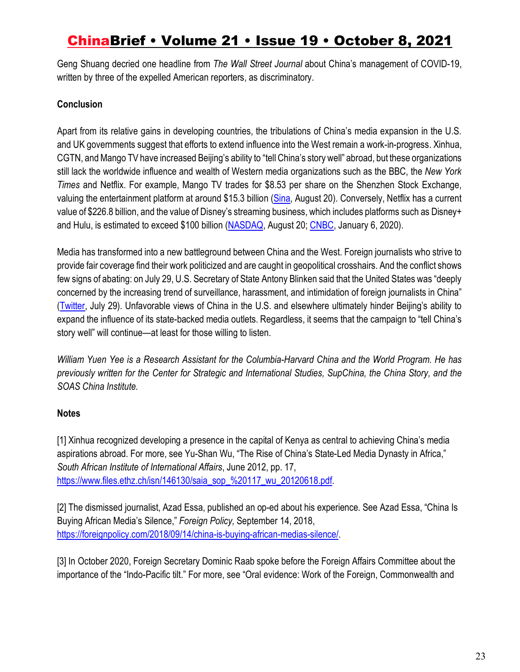Geng Shuang decried one headline from *The Wall Street Journal* about China's management of COVID-19, written by three of the expelled American reporters, as discriminatory.

### **Conclusion**

Apart from its relative gains in developing countries, the tribulations of China's media expansion in the U.S. and UK governments suggest that efforts to extend influence into the West remain a work-in-progress. Xinhua, CGTN, and Mango TV have increased Beijing's ability to "tell China's story well" abroad, but these organizations still lack the worldwide influence and wealth of Western media organizations such as the BBC, the *New York Times* and Netflix. For example, Mango TV trades for \$8.53 per share on the Shenzhen Stock Exchange, valuing the entertainment platform at around \$15.3 billion (Sina, August 20). Conversely, Netflix has a current value of \$226.8 billion, and the value of Disney's streaming business, which includes platforms such as Disney+ and Hulu, is estimated to exceed \$100 billion (NASDAQ, August 20; CNBC, January 6, 2020).

Media has transformed into a new battleground between China and the West. Foreign journalists who strive to provide fair coverage find their work politicized and are caught in geopolitical crosshairs. And the conflict shows few signs of abating: on July 29, U.S. Secretary of State Antony Blinken said that the United States was "deeply concerned by the increasing trend of surveillance, harassment, and intimidation of foreign journalists in China" (Twitter, July 29). Unfavorable views of China in the U.S. and elsewhere ultimately hinder Beijing's ability to expand the influence of its state-backed media outlets. Regardless, it seems that the campaign to "tell China's story well" will continue—at least for those willing to listen.

*William Yuen Yee is a Research Assistant for the Columbia-Harvard China and the World Program. He has previously written for the Center for Strategic and International Studies, SupChina, the China Story, and the SOAS China Institute.* 

### **Notes**

[1] Xinhua recognized developing a presence in the capital of Kenya as central to achieving China's media aspirations abroad. For more, see Yu-Shan Wu, "The Rise of China's State-Led Media Dynasty in Africa," *South African Institute of International Affairs*, June 2012, pp. 17, https://www.files.ethz.ch/isn/146130/saia\_sop\_%20117\_wu\_20120618.pdf.

[2] The dismissed journalist, Azad Essa, published an op-ed about his experience*.* See Azad Essa, "China Is Buying African Media's Silence," *Foreign Policy,* September 14, 2018, https://foreignpolicy.com/2018/09/14/china-is-buying-african-medias-silence/.

[3] In October 2020, Foreign Secretary Dominic Raab spoke before the Foreign Affairs Committee about the importance of the "Indo-Pacific tilt." For more, see "Oral evidence: Work of the Foreign, Commonwealth and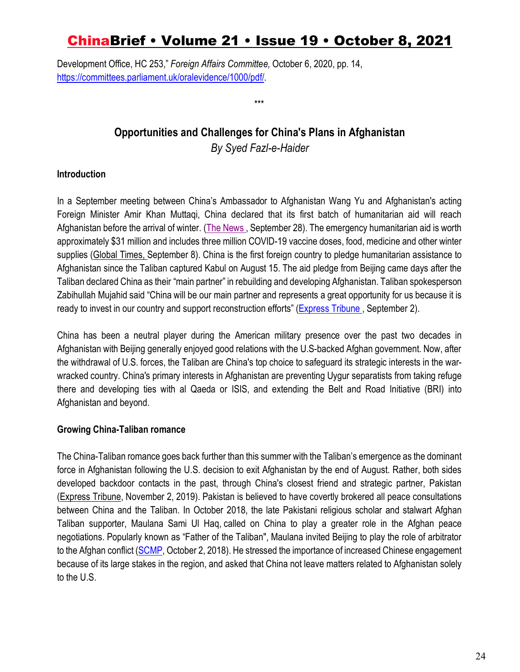Development Office, HC 253," *Foreign Affairs Committee,* October 6, 2020, pp. 14, https://committees.parliament.uk/oralevidence/1000/pdf/.

### **Opportunities and Challenges for China's Plans in Afghanistan** *By Syed Fazl-e-Haider*

\*\*\*

### **Introduction**

In a September meeting between China's Ambassador to Afghanistan Wang Yu and Afghanistan's acting Foreign Minister Amir Khan Muttaqi, China declared that its first batch of humanitarian aid will reach Afghanistan before the arrival of winter. (The News., September 28). The emergency humanitarian aid is worth approximately \$31 million and includes three million COVID-19 vaccine doses, food, medicine and other winter supplies (Global Times, September 8). China is the first foreign country to pledge humanitarian assistance to Afghanistan since the Taliban captured Kabul on August 15. The aid pledge from Beijing came days after the Taliban declared China as their "main partner" in rebuilding and developing Afghanistan. Taliban spokesperson Zabihullah Mujahid said "China will be our main partner and represents a great opportunity for us because it is ready to invest in our country and support reconstruction efforts" (Express Tribune, September 2).

China has been a neutral player during the American military presence over the past two decades in Afghanistan with Beijing generally enjoyed good relations with the U.S-backed Afghan government. Now, after the withdrawal of U.S. forces, the Taliban are China's top choice to safeguard its strategic interests in the warwracked country. China's primary interests in Afghanistan are preventing Uygur separatists from taking refuge there and developing ties with al Qaeda or ISIS, and extending the Belt and Road Initiative (BRI) into Afghanistan and beyond.

### **Growing China-Taliban romance**

The China-Taliban romance goes back further than this summer with the Taliban's emergence as the dominant force in Afghanistan following the U.S. decision to exit Afghanistan by the end of August. Rather, both sides developed backdoor contacts in the past, through China's closest friend and strategic partner, Pakistan (Express Tribune, November 2, 2019). Pakistan is believed to have covertly brokered all peace consultations between China and the Taliban. In October 2018, the late Pakistani religious scholar and stalwart Afghan Taliban supporter, Maulana Sami Ul Haq, called on China to play a greater role in the Afghan peace negotiations. Popularly known as "Father of the Taliban", Maulana invited Beijing to play the role of arbitrator to the Afghan conflict (SCMP, October 2, 2018). He stressed the importance of increased Chinese engagement because of its large stakes in the region, and asked that China not leave matters related to Afghanistan solely to the U.S.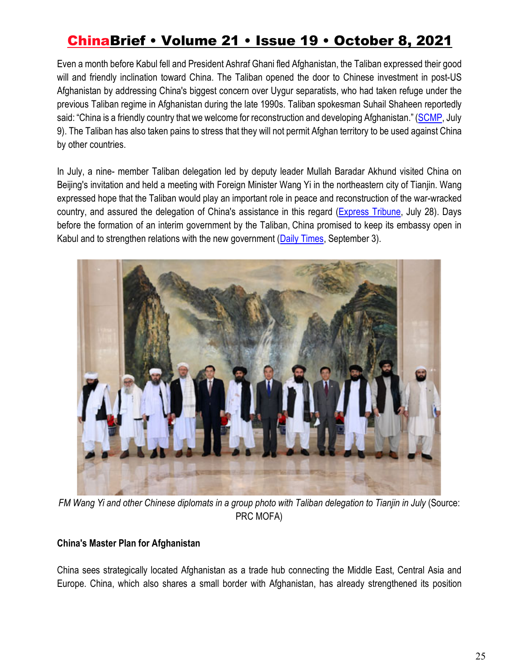Even a month before Kabul fell and President Ashraf Ghani fled Afghanistan, the Taliban expressed their good will and friendly inclination toward China. The Taliban opened the door to Chinese investment in post-US Afghanistan by addressing China's biggest concern over Uygur separatists, who had taken refuge under the previous Taliban regime in Afghanistan during the late 1990s. Taliban spokesman Suhail Shaheen reportedly said: "China is a friendly country that we welcome for reconstruction and developing Afghanistan." (SCMP, July 9). The Taliban has also taken pains to stress that they will not permit Afghan territory to be used against China by other countries.

In July, a nine- member Taliban delegation led by deputy leader Mullah Baradar Akhund visited China on Beijing's invitation and held a meeting with Foreign Minister Wang Yi in the northeastern city of Tianjin. Wang expressed hope that the Taliban would play an important role in peace and reconstruction of the war-wracked country, and assured the delegation of China's assistance in this regard (Express Tribune, July 28). Days before the formation of an interim government by the Taliban, China promised to keep its embassy open in Kabul and to strengthen relations with the new government (Daily Times, September 3).



*FM Wang Yi and other Chinese diplomats in a group photo with Taliban delegation to Tianjin in July* (Source: PRC MOFA)

### **China's Master Plan for Afghanistan**

China sees strategically located Afghanistan as a trade hub connecting the Middle East, Central Asia and Europe. China, which also shares a small border with Afghanistan, has already strengthened its position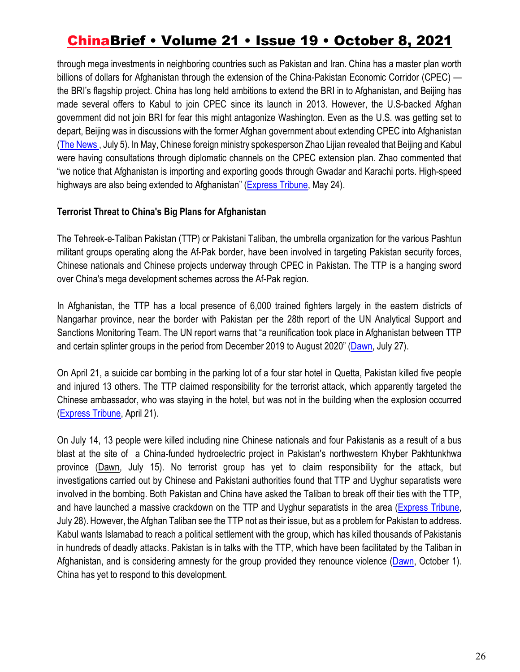through mega investments in neighboring countries such as Pakistan and Iran. China has a master plan worth billions of dollars for Afghanistan through the extension of the China-Pakistan Economic Corridor (CPEC) the BRI's flagship project. China has long held ambitions to extend the BRI in to Afghanistan, and Beijing has made several offers to Kabul to join CPEC since its launch in 2013. However, the U.S-backed Afghan government did not join BRI for fear this might antagonize Washington. Even as the U.S. was getting set to depart, Beijing was in discussions with the former Afghan government about extending CPEC into Afghanistan (The News , July 5). In May, Chinese foreign ministry spokesperson Zhao Lijian revealed that Beijing and Kabul were having consultations through diplomatic channels on the CPEC extension plan. Zhao commented that "we notice that Afghanistan is importing and exporting goods through Gwadar and Karachi ports. High-speed highways are also being extended to Afghanistan" (Express Tribune, May 24).

#### **Terrorist Threat to China's Big Plans for Afghanistan**

The Tehreek-e-Taliban Pakistan (TTP) or Pakistani Taliban, the umbrella organization for the various Pashtun militant groups operating along the Af-Pak border, have been involved in targeting Pakistan security forces, Chinese nationals and Chinese projects underway through CPEC in Pakistan. The TTP is a hanging sword over China's mega development schemes across the Af-Pak region.

In Afghanistan, the TTP has a local presence of 6,000 trained fighters largely in the eastern districts of Nangarhar province, near the border with Pakistan per the 28th report of the UN Analytical Support and Sanctions Monitoring Team. The UN report warns that "a reunification took place in Afghanistan between TTP and certain splinter groups in the period from December 2019 to August 2020" (Dawn, July 27).

On April 21, a suicide car bombing in the parking lot of a four star hotel in Quetta, Pakistan killed five people and injured 13 others. The TTP claimed responsibility for the terrorist attack, which apparently targeted the Chinese ambassador, who was staying in the hotel, but was not in the building when the explosion occurred (Express Tribune, April 21).

On July 14, 13 people were killed including nine Chinese nationals and four Pakistanis as a result of a bus blast at the site of a China-funded hydroelectric project in Pakistan's northwestern Khyber Pakhtunkhwa province (Dawn, July 15). No terrorist group has yet to claim responsibility for the attack, but investigations carried out by Chinese and Pakistani authorities found that TTP and Uyghur separatists were involved in the bombing. Both Pakistan and China have asked the Taliban to break off their ties with the TTP, and have launched a massive crackdown on the TTP and Uyghur separatists in the area (Express Tribune, July 28). However, the Afghan Taliban see the TTP not as their issue, but as a problem for Pakistan to address. Kabul wants Islamabad to reach a political settlement with the group, which has killed thousands of Pakistanis in hundreds of deadly attacks. Pakistan is in talks with the TTP, which have been facilitated by the Taliban in Afghanistan, and is considering amnesty for the group provided they renounce violence (Dawn, October 1). China has yet to respond to this development.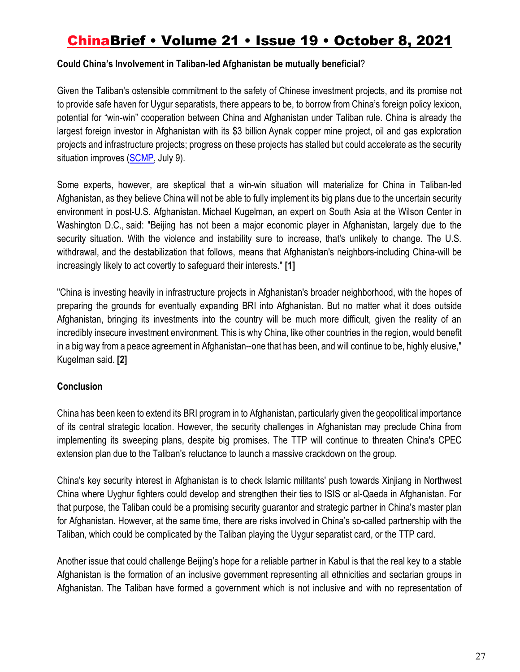#### **Could China's Involvement in Taliban-led Afghanistan be mutually beneficial**?

Given the Taliban's ostensible commitment to the safety of Chinese investment projects, and its promise not to provide safe haven for Uygur separatists, there appears to be, to borrow from China's foreign policy lexicon, potential for "win-win" cooperation between China and Afghanistan under Taliban rule. China is already the largest foreign investor in Afghanistan with its \$3 billion Aynak copper mine project, oil and gas exploration projects and infrastructure projects; progress on these projects has stalled but could accelerate as the security situation improves (SCMP, July 9).

Some experts, however, are skeptical that a win-win situation will materialize for China in Taliban-led Afghanistan, as they believe China will not be able to fully implement its big plans due to the uncertain security environment in post-U.S. Afghanistan. Michael Kugelman, an expert on South Asia at the Wilson Center in Washington D.C., said: "Beijing has not been a major economic player in Afghanistan, largely due to the security situation. With the violence and instability sure to increase, that's unlikely to change. The U.S. withdrawal, and the destabilization that follows, means that Afghanistan's neighbors-including China-will be increasingly likely to act covertly to safeguard their interests." **[1]**

"China is investing heavily in infrastructure projects in Afghanistan's broader neighborhood, with the hopes of preparing the grounds for eventually expanding BRI into Afghanistan. But no matter what it does outside Afghanistan, bringing its investments into the country will be much more difficult, given the reality of an incredibly insecure investment environment. This is why China, like other countries in the region, would benefit in a big way from a peace agreement in Afghanistan--one that has been, and will continue to be, highly elusive," Kugelman said. **[2]**

#### **Conclusion**

China has been keen to extend its BRI program in to Afghanistan, particularly given the geopolitical importance of its central strategic location. However, the security challenges in Afghanistan may preclude China from implementing its sweeping plans, despite big promises. The TTP will continue to threaten China's CPEC extension plan due to the Taliban's reluctance to launch a massive crackdown on the group.

China's key security interest in Afghanistan is to check Islamic militants' push towards Xinjiang in Northwest China where Uyghur fighters could develop and strengthen their ties to ISIS or al-Qaeda in Afghanistan. For that purpose, the Taliban could be a promising security guarantor and strategic partner in China's master plan for Afghanistan. However, at the same time, there are risks involved in China's so-called partnership with the Taliban, which could be complicated by the Taliban playing the Uygur separatist card, or the TTP card.

Another issue that could challenge Beijing's hope for a reliable partner in Kabul is that the real key to a stable Afghanistan is the formation of an inclusive government representing all ethnicities and sectarian groups in Afghanistan. The Taliban have formed a government which is not inclusive and with no representation of